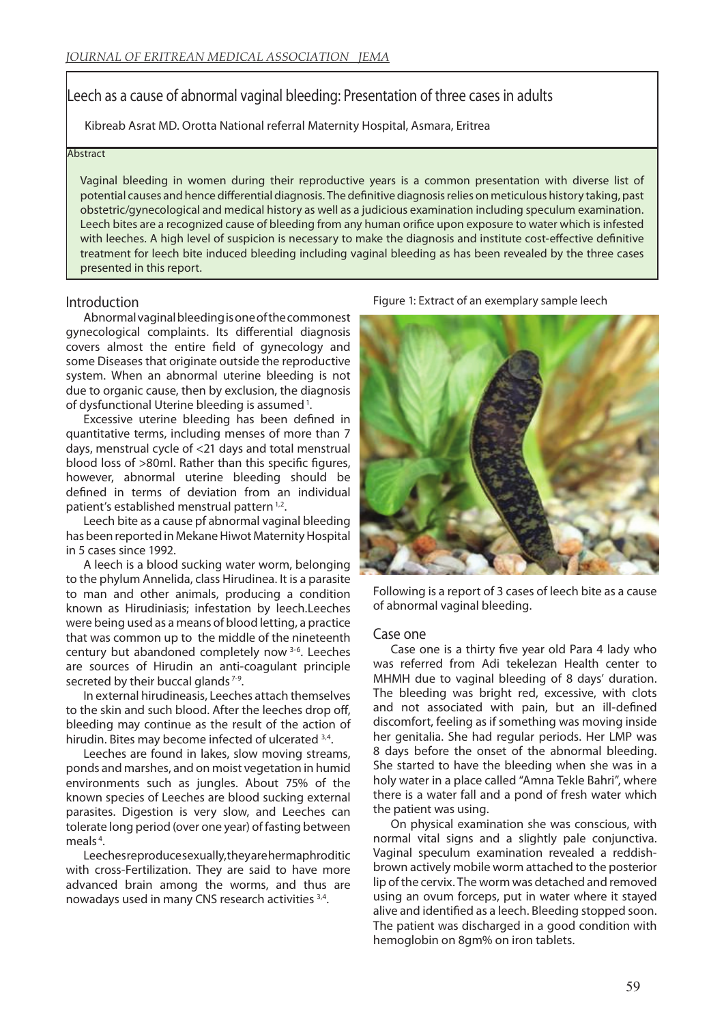# Leech as a cause of abnormal vaginal bleeding: Presentation of three cases in adults

Kibreab Asrat MD. Orotta National referral Maternity Hospital, Asmara, Eritrea

#### **Abstract**

Vaginal bleeding in women during their reproductive years is a common presentation with diverse list of potential causes and hence differential diagnosis. The definitive diagnosis relies on meticulous history taking, past obstetric/gynecological and medical history as well as a judicious examination including speculum examination. Leech bites are a recognized cause of bleeding from any human orifice upon exposure to water which is infested with leeches. A high level of suspicion is necessary to make the diagnosis and institute cost-effective definitive treatment for leech bite induced bleeding including vaginal bleeding as has been revealed by the three cases presented in this report.

#### Introduction

Abnormal vaginal bleeding is one of the commonest gynecological complaints. Its differential diagnosis covers almost the entire field of gynecology and some Diseases that originate outside the reproductive system. When an abnormal uterine bleeding is not due to organic cause, then by exclusion, the diagnosis of dysfunctional Uterine bleeding is assumed 1.

Excessive uterine bleeding has been defined in quantitative terms, including menses of more than 7 days, menstrual cycle of <21 days and total menstrual blood loss of >80ml. Rather than this specific figures, however, abnormal uterine bleeding should be defined in terms of deviation from an individual patient's established menstrual pattern<sup>1,2</sup>.

Leech bite as a cause pf abnormal vaginal bleeding has been reported in Mekane Hiwot Maternity Hospital in 5 cases since 1992.

A leech is a blood sucking water worm, belonging to the phylum Annelida, class Hirudinea. It is a parasite to man and other animals, producing a condition known as Hirudiniasis; infestation by leech.Leeches were being used as a means of blood letting, a practice that was common up to the middle of the nineteenth century but abandoned completely now 3-6. Leeches are sources of Hirudin an anti-coagulant principle secreted by their buccal glands 7-9.

In external hirudineasis, Leeches attach themselves to the skin and such blood. After the leeches drop off, bleeding may continue as the result of the action of hirudin. Bites may become infected of ulcerated 3,4.

Leeches are found in lakes, slow moving streams, ponds and marshes, and on moist vegetation in humid environments such as jungles. About 75% of the known species of Leeches are blood sucking external parasites. Digestion is very slow, and Leeches can tolerate long period (over one year) of fasting between meals<sup>4</sup>.

Leeches reproduce sexually, they are hermaphroditic with cross-Fertilization. They are said to have more advanced brain among the worms, and thus are nowadays used in many CNS research activities 3,4.

Figure 1: Extract of an exemplary sample leech



Following is a report of 3 cases of leech bite as a cause of abnormal vaginal bleeding.

#### Case one

Case one is a thirty five year old Para 4 lady who was referred from Adi tekelezan Health center to MHMH due to vaginal bleeding of 8 days' duration. The bleeding was bright red, excessive, with clots and not associated with pain, but an ill-defined discomfort, feeling as if something was moving inside her genitalia. She had regular periods. Her LMP was 8 days before the onset of the abnormal bleeding. She started to have the bleeding when she was in a holy water in a place called "Amna Tekle Bahri", where there is a water fall and a pond of fresh water which the patient was using.

On physical examination she was conscious, with normal vital signs and a slightly pale conjunctiva. Vaginal speculum examination revealed a reddishbrown actively mobile worm attached to the posterior lip of the cervix. The worm was detached and removed using an ovum forceps, put in water where it stayed alive and identified as a leech. Bleeding stopped soon. The patient was discharged in a good condition with hemoglobin on 8gm% on iron tablets.